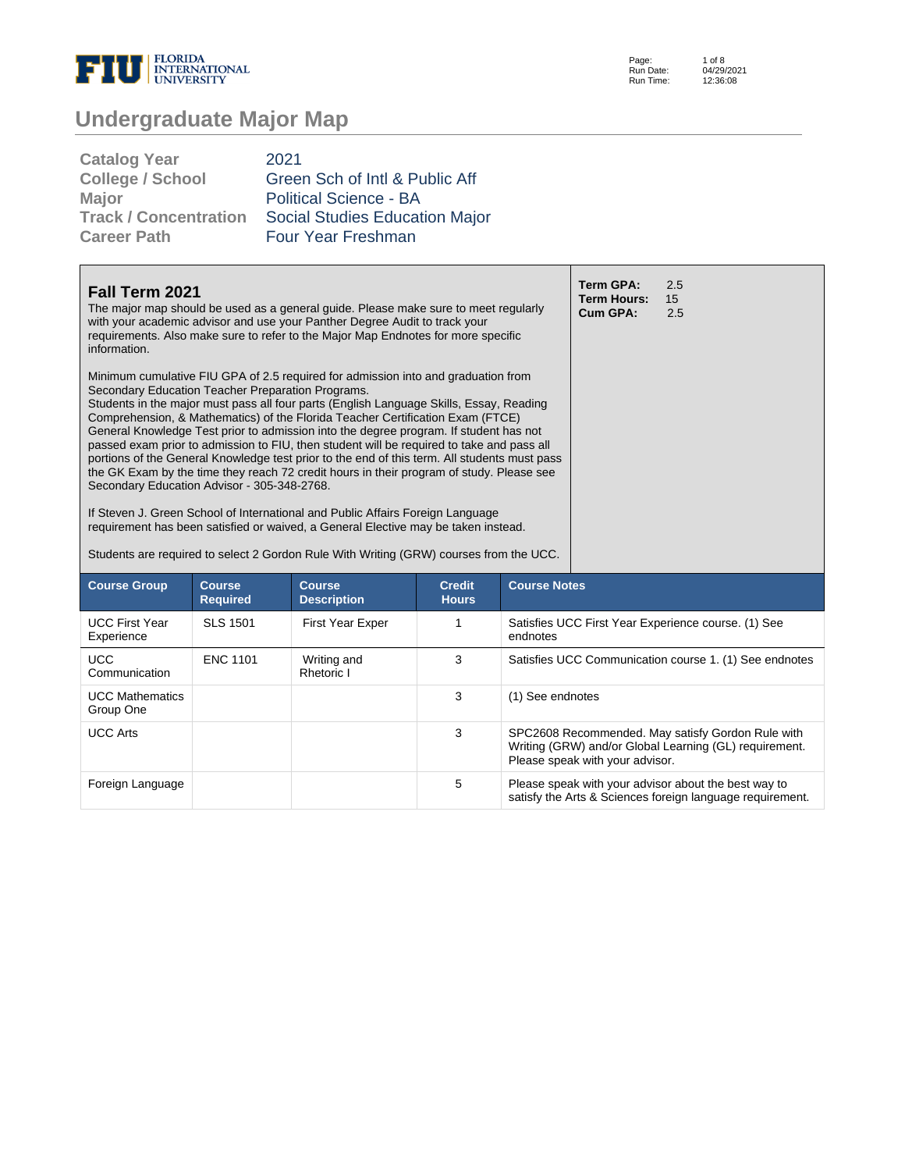

Page: Run Date: Run Time: 1 of 8 04/29/2021 12:36:08

| 2021                           |
|--------------------------------|
| Green Sch of Intl & Public Aff |
| <b>Political Science - BA</b>  |
| Social Studies Education Major |
| Four Year Freshman             |
|                                |

| Fall Term 2021<br>The major map should be used as a general guide. Please make sure to meet regularly<br>with your academic advisor and use your Panther Degree Audit to track your<br>requirements. Also make sure to refer to the Major Map Endnotes for more specific<br>information.<br>Minimum cumulative FIU GPA of 2.5 required for admission into and graduation from<br>Secondary Education Teacher Preparation Programs.<br>Students in the major must pass all four parts (English Language Skills, Essay, Reading<br>Comprehension, & Mathematics) of the Florida Teacher Certification Exam (FTCE)<br>General Knowledge Test prior to admission into the degree program. If student has not<br>passed exam prior to admission to FIU, then student will be required to take and pass all<br>portions of the General Knowledge test prior to the end of this term. All students must pass<br>the GK Exam by the time they reach 72 credit hours in their program of study. Please see<br>Secondary Education Advisor - 305-348-2768.<br>If Steven J. Green School of International and Public Affairs Foreign Language<br>requirement has been satisfied or waived, a General Elective may be taken instead. |                                  |                                                                                        |                               |                                                                                                                                                |  | 2.5<br>15<br>2.5                                                                                                  |  |
|--------------------------------------------------------------------------------------------------------------------------------------------------------------------------------------------------------------------------------------------------------------------------------------------------------------------------------------------------------------------------------------------------------------------------------------------------------------------------------------------------------------------------------------------------------------------------------------------------------------------------------------------------------------------------------------------------------------------------------------------------------------------------------------------------------------------------------------------------------------------------------------------------------------------------------------------------------------------------------------------------------------------------------------------------------------------------------------------------------------------------------------------------------------------------------------------------------------------------|----------------------------------|----------------------------------------------------------------------------------------|-------------------------------|------------------------------------------------------------------------------------------------------------------------------------------------|--|-------------------------------------------------------------------------------------------------------------------|--|
|                                                                                                                                                                                                                                                                                                                                                                                                                                                                                                                                                                                                                                                                                                                                                                                                                                                                                                                                                                                                                                                                                                                                                                                                                          |                                  | Students are required to select 2 Gordon Rule With Writing (GRW) courses from the UCC. |                               |                                                                                                                                                |  |                                                                                                                   |  |
| <b>Course Group</b>                                                                                                                                                                                                                                                                                                                                                                                                                                                                                                                                                                                                                                                                                                                                                                                                                                                                                                                                                                                                                                                                                                                                                                                                      | <b>Course</b><br><b>Required</b> | <b>Course</b><br><b>Description</b>                                                    | <b>Credit</b><br><b>Hours</b> | <b>Course Notes</b>                                                                                                                            |  |                                                                                                                   |  |
| <b>UCC First Year</b><br>Experience                                                                                                                                                                                                                                                                                                                                                                                                                                                                                                                                                                                                                                                                                                                                                                                                                                                                                                                                                                                                                                                                                                                                                                                      | <b>SLS 1501</b>                  | <b>First Year Exper</b>                                                                | 1                             | endnotes                                                                                                                                       |  | Satisfies UCC First Year Experience course. (1) See                                                               |  |
| <b>UCC</b><br>Communication                                                                                                                                                                                                                                                                                                                                                                                                                                                                                                                                                                                                                                                                                                                                                                                                                                                                                                                                                                                                                                                                                                                                                                                              | <b>ENC 1101</b>                  | Writing and<br>Rhetoric I                                                              | 3                             |                                                                                                                                                |  | Satisfies UCC Communication course 1. (1) See endnotes                                                            |  |
| <b>UCC Mathematics</b><br>Group One                                                                                                                                                                                                                                                                                                                                                                                                                                                                                                                                                                                                                                                                                                                                                                                                                                                                                                                                                                                                                                                                                                                                                                                      |                                  |                                                                                        | 3                             | (1) See endnotes                                                                                                                               |  |                                                                                                                   |  |
| <b>UCC Arts</b>                                                                                                                                                                                                                                                                                                                                                                                                                                                                                                                                                                                                                                                                                                                                                                                                                                                                                                                                                                                                                                                                                                                                                                                                          |                                  |                                                                                        | 3                             | SPC2608 Recommended. May satisfy Gordon Rule with<br>Writing (GRW) and/or Global Learning (GL) requirement.<br>Please speak with your advisor. |  |                                                                                                                   |  |
| Foreign Language                                                                                                                                                                                                                                                                                                                                                                                                                                                                                                                                                                                                                                                                                                                                                                                                                                                                                                                                                                                                                                                                                                                                                                                                         |                                  |                                                                                        | 5                             |                                                                                                                                                |  | Please speak with your advisor about the best way to<br>satisfy the Arts & Sciences foreign language requirement. |  |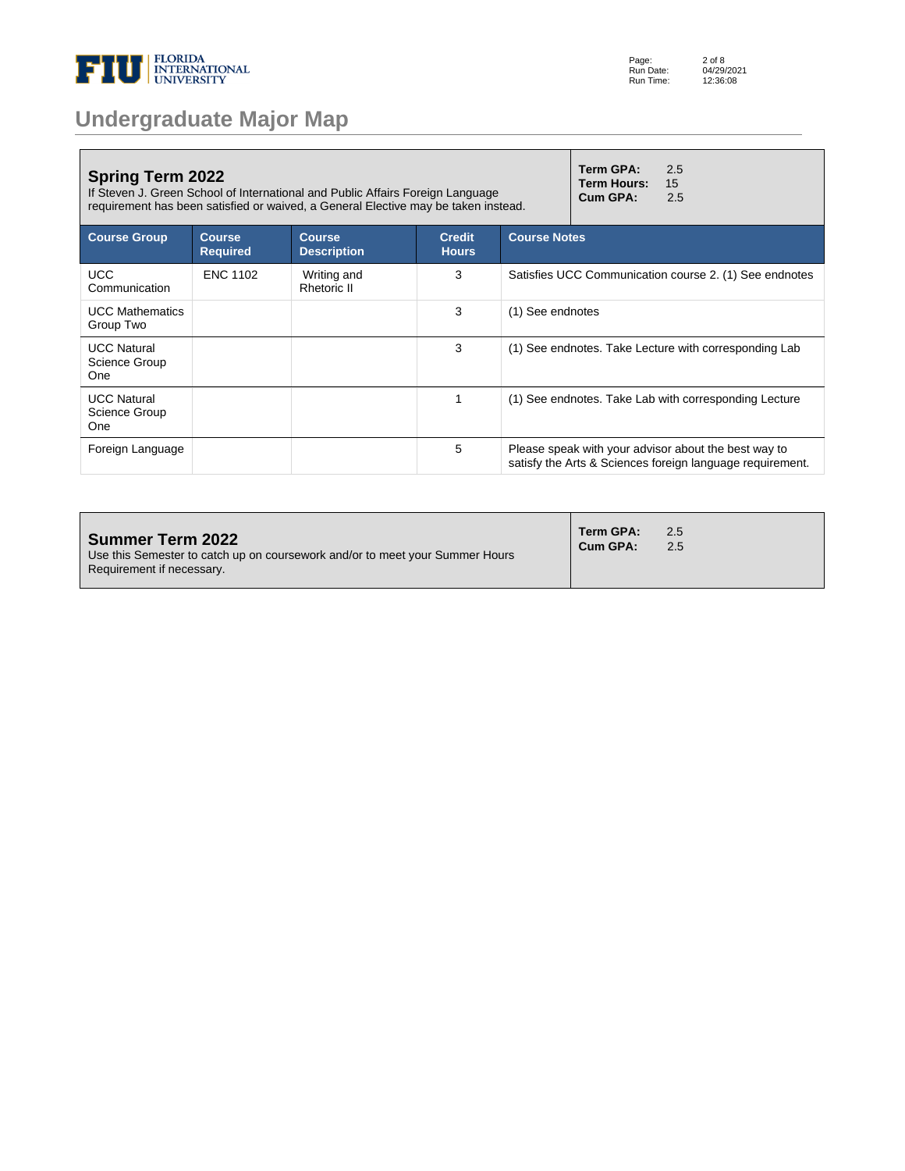

| Term GPA:<br><b>Spring Term 2022</b><br>If Steven J. Green School of International and Public Affairs Foreign Language<br>Cum GPA:<br>requirement has been satisfied or waived, a General Elective may be taken instead. |                                  |                                     |                               |                                                      | 2.5<br>15<br>2.5                                          |
|--------------------------------------------------------------------------------------------------------------------------------------------------------------------------------------------------------------------------|----------------------------------|-------------------------------------|-------------------------------|------------------------------------------------------|-----------------------------------------------------------|
| <b>Course Group</b>                                                                                                                                                                                                      | <b>Course</b><br><b>Required</b> | <b>Course</b><br><b>Description</b> | <b>Credit</b><br><b>Hours</b> | <b>Course Notes</b>                                  |                                                           |
| <b>UCC</b><br>Communication                                                                                                                                                                                              | <b>ENC 1102</b>                  | Writing and<br><b>Rhetoric II</b>   | 3                             |                                                      | Satisfies UCC Communication course 2. (1) See endnotes    |
| <b>UCC Mathematics</b><br>Group Two                                                                                                                                                                                      |                                  |                                     | 3                             | (1) See endnotes                                     |                                                           |
| <b>UCC Natural</b><br>Science Group<br>One                                                                                                                                                                               |                                  |                                     | 3                             |                                                      | (1) See endnotes. Take Lecture with corresponding Lab     |
| <b>UCC Natural</b><br>Science Group<br>One                                                                                                                                                                               |                                  |                                     | 1                             |                                                      | (1) See endnotes. Take Lab with corresponding Lecture     |
| Foreign Language                                                                                                                                                                                                         |                                  |                                     | 5                             | Please speak with your advisor about the best way to | satisfy the Arts & Sciences foreign language requirement. |

| <b>Summer Term 2022</b><br>Use this Semester to catch up on coursework and/or to meet your Summer Hours<br>Requirement if necessary. | Term GPA:<br>Cum GPA: | 2.5<br>2.5 |
|--------------------------------------------------------------------------------------------------------------------------------------|-----------------------|------------|
|--------------------------------------------------------------------------------------------------------------------------------------|-----------------------|------------|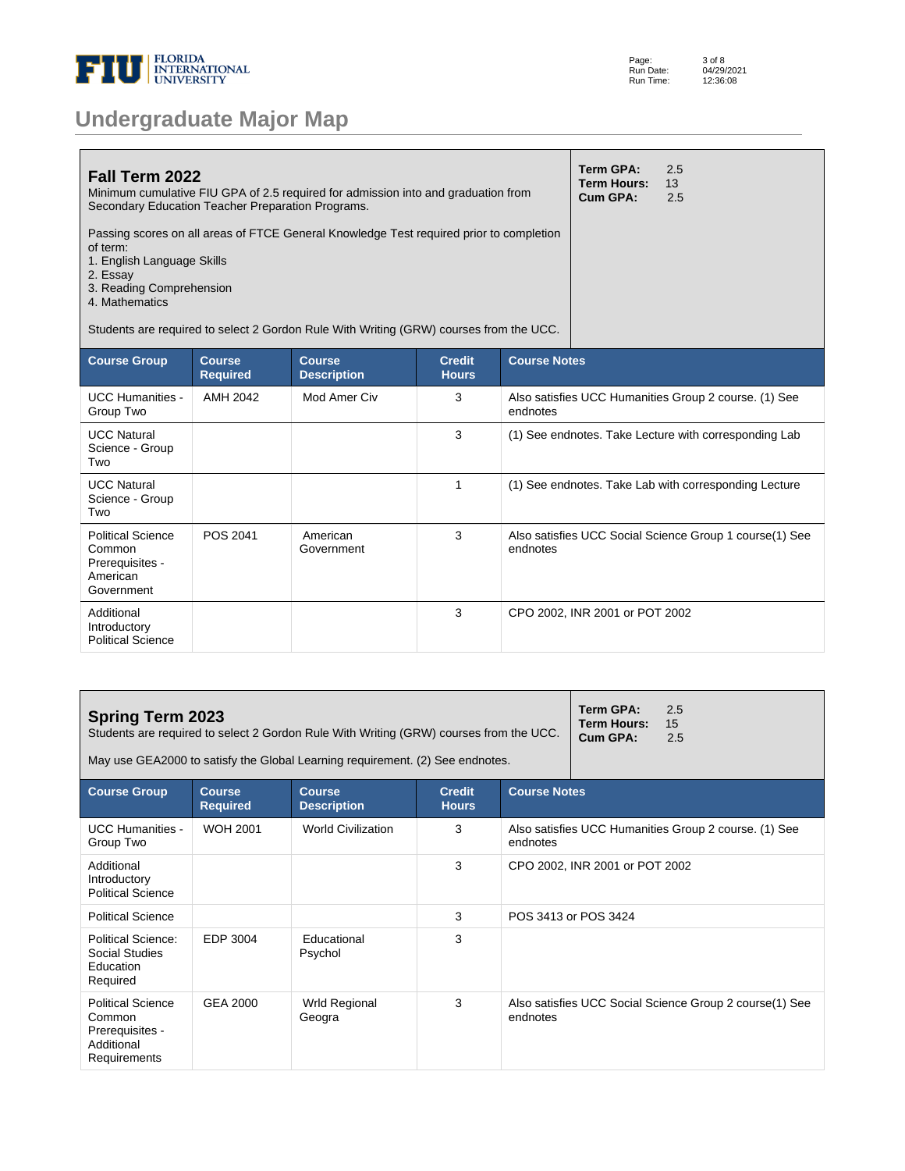

| Page:     | 3 of 8     |
|-----------|------------|
| Run Date: | 04/29/2021 |
| Run Time: | 12:36:08   |

| <b>Fall Term 2022</b><br>Minimum cumulative FIU GPA of 2.5 required for admission into and graduation from<br>Secondary Education Teacher Preparation Programs.                             | Term GPA:<br><b>Term Hours:</b><br>Cum GPA: | 2.5<br>13<br>2.5 |
|---------------------------------------------------------------------------------------------------------------------------------------------------------------------------------------------|---------------------------------------------|------------------|
| Passing scores on all areas of FTCE General Knowledge Test required prior to completion<br>of term:<br>1. English Language Skills<br>2. Essay<br>3. Reading Comprehension<br>4. Mathematics |                                             |                  |
| Students are required to select 2 Gordon Rule With Writing (GRW) courses from the UCC.                                                                                                      |                                             |                  |

| <b>Course Group</b>                                                             | <b>Course</b><br><b>Required</b> | <b>Course</b><br><b>Description</b> | <b>Credit</b><br><b>Hours</b> | <b>Course Notes</b>                                                 |
|---------------------------------------------------------------------------------|----------------------------------|-------------------------------------|-------------------------------|---------------------------------------------------------------------|
| <b>UCC Humanities -</b><br>Group Two                                            | AMH 2042                         | Mod Amer Civ                        | 3                             | Also satisfies UCC Humanities Group 2 course. (1) See<br>endnotes   |
| <b>UCC Natural</b><br>Science - Group<br>Two                                    |                                  |                                     | 3                             | (1) See endnotes. Take Lecture with corresponding Lab               |
| <b>UCC Natural</b><br>Science - Group<br>Two                                    |                                  |                                     | 1                             | (1) See endnotes. Take Lab with corresponding Lecture               |
| <b>Political Science</b><br>Common<br>Prerequisites -<br>American<br>Government | POS 2041                         | American<br>Government              | 3                             | Also satisfies UCC Social Science Group 1 course(1) See<br>endnotes |
| Additional<br>Introductory<br><b>Political Science</b>                          |                                  |                                     | 3                             | CPO 2002, INR 2001 or POT 2002                                      |

| <b>Spring Term 2023</b><br>Students are required to select 2 Gordon Rule With Writing (GRW) courses from the UCC.<br>May use GEA2000 to satisfy the Global Learning requirement. (2) See endnotes. |                 |                           |   |                                                                   | Term GPA:<br><b>Term Hours:</b><br>Cum GPA: | 2.5<br>15<br>2.5                                        |
|----------------------------------------------------------------------------------------------------------------------------------------------------------------------------------------------------|-----------------|---------------------------|---|-------------------------------------------------------------------|---------------------------------------------|---------------------------------------------------------|
| <b>Course Notes</b><br><b>Course Group</b><br><b>Course</b><br><b>Credit</b><br><b>Course</b><br><b>Required</b><br><b>Hours</b><br><b>Description</b>                                             |                 |                           |   |                                                                   |                                             |                                                         |
| <b>UCC Humanities -</b><br>Group Two                                                                                                                                                               | <b>WOH 2001</b> | <b>World Civilization</b> | 3 | Also satisfies UCC Humanities Group 2 course. (1) See<br>endnotes |                                             |                                                         |
| Additional<br>Introductory<br><b>Political Science</b>                                                                                                                                             |                 |                           | 3 |                                                                   | CPO 2002, INR 2001 or POT 2002              |                                                         |
| <b>Political Science</b>                                                                                                                                                                           |                 |                           | 3 |                                                                   | POS 3413 or POS 3424                        |                                                         |
| Political Science:<br>Social Studies<br>Education<br>Required                                                                                                                                      | EDP 3004        | Educational<br>Psychol    | 3 |                                                                   |                                             |                                                         |
| <b>Political Science</b><br>Common<br>Prerequisites -<br>Additional<br>Requirements                                                                                                                | GEA 2000        | Wrld Regional<br>Geogra   | 3 | endnotes                                                          |                                             | Also satisfies UCC Social Science Group 2 course(1) See |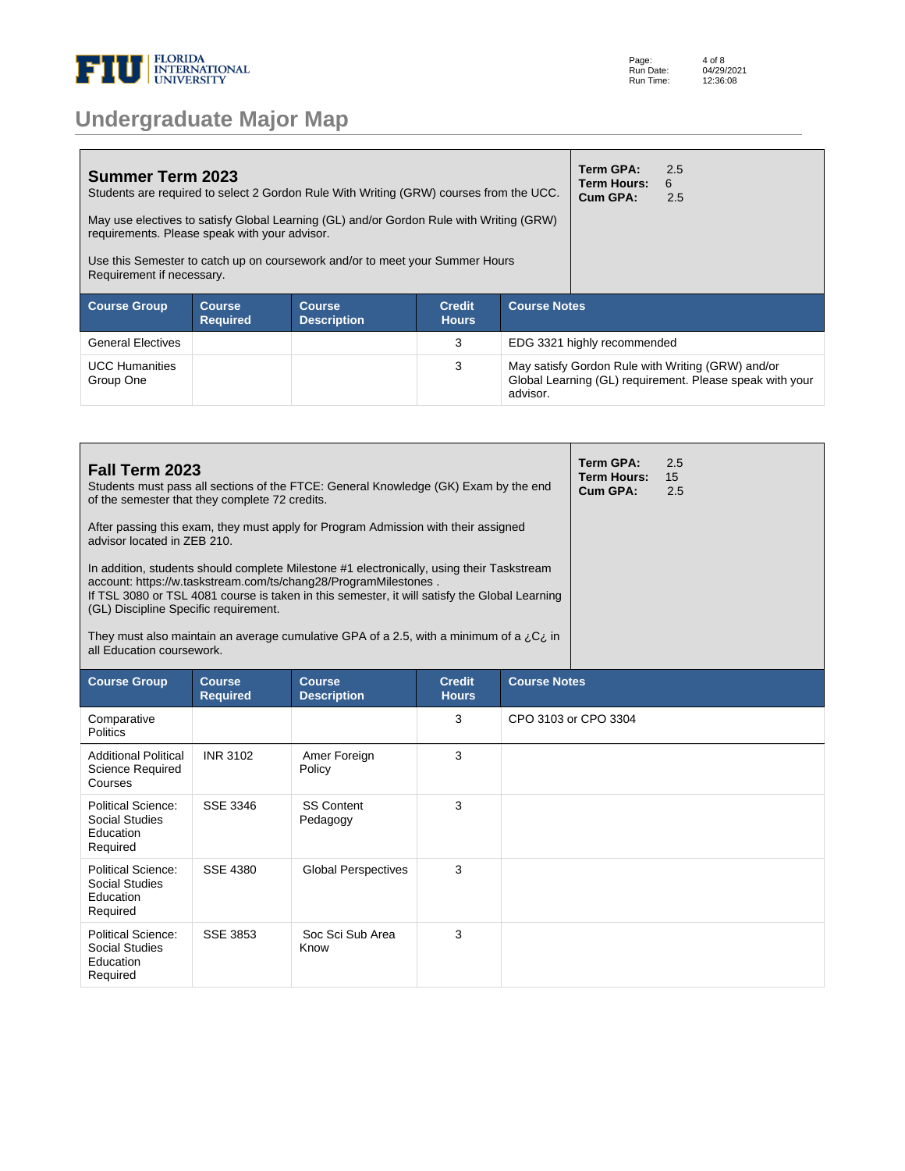

| Page:     | 4 of 8     |
|-----------|------------|
| Run Date: | 04/29/2021 |
| Run Time: | 12:36:08   |

| <b>Summer Term 2023</b><br>Students are required to select 2 Gordon Rule With Writing (GRW) courses from the UCC.<br>May use electives to satisfy Global Learning (GL) and/or Gordon Rule with Writing (GRW)<br>requirements. Please speak with your advisor.<br>Use this Semester to catch up on coursework and/or to meet your Summer Hours<br>Requirement if necessary. |  |  |   |                                                                                                                           | Term GPA:<br>Term Hours:<br>Cum GPA: | 2.5<br>6<br>2.5 |  |
|----------------------------------------------------------------------------------------------------------------------------------------------------------------------------------------------------------------------------------------------------------------------------------------------------------------------------------------------------------------------------|--|--|---|---------------------------------------------------------------------------------------------------------------------------|--------------------------------------|-----------------|--|
| <b>Course Notes</b><br><b>Credit</b><br><b>Course Group</b><br><b>Course</b><br><b>Course</b><br><b>Required</b><br><b>Description</b><br><b>Hours</b>                                                                                                                                                                                                                     |  |  |   |                                                                                                                           |                                      |                 |  |
| <b>General Electives</b>                                                                                                                                                                                                                                                                                                                                                   |  |  | 3 | EDG 3321 highly recommended                                                                                               |                                      |                 |  |
| <b>UCC Humanities</b><br>Group One                                                                                                                                                                                                                                                                                                                                         |  |  | 3 | May satisfy Gordon Rule with Writing (GRW) and/or<br>Global Learning (GL) requirement. Please speak with your<br>advisor. |                                      |                 |  |

| Fall Term 2023<br>Students must pass all sections of the FTCE: General Knowledge (GK) Exam by the end<br>of the semester that they complete 72 credits.<br>After passing this exam, they must apply for Program Admission with their assigned<br>advisor located in ZEB 210.<br>In addition, students should complete Milestone #1 electronically, using their Taskstream<br>account: https://w.taskstream.com/ts/chang28/ProgramMilestones.<br>If TSL 3080 or TSL 4081 course is taken in this semester, it will satisfy the Global Learning<br>(GL) Discipline Specific requirement.<br>They must also maintain an average cumulative GPA of a 2.5, with a minimum of a $i_jC_i$ in |                                  |                                     |                               |                     |                      | 2.5<br>15<br>2.5 |
|---------------------------------------------------------------------------------------------------------------------------------------------------------------------------------------------------------------------------------------------------------------------------------------------------------------------------------------------------------------------------------------------------------------------------------------------------------------------------------------------------------------------------------------------------------------------------------------------------------------------------------------------------------------------------------------|----------------------------------|-------------------------------------|-------------------------------|---------------------|----------------------|------------------|
| all Education coursework.                                                                                                                                                                                                                                                                                                                                                                                                                                                                                                                                                                                                                                                             |                                  |                                     |                               |                     |                      |                  |
| <b>Course Group</b>                                                                                                                                                                                                                                                                                                                                                                                                                                                                                                                                                                                                                                                                   | <b>Course</b><br><b>Required</b> | <b>Course</b><br><b>Description</b> | <b>Credit</b><br><b>Hours</b> | <b>Course Notes</b> |                      |                  |
| Comparative<br><b>Politics</b>                                                                                                                                                                                                                                                                                                                                                                                                                                                                                                                                                                                                                                                        |                                  |                                     | 3                             |                     | CPO 3103 or CPO 3304 |                  |
| <b>Additional Political</b><br><b>Science Required</b><br>Courses                                                                                                                                                                                                                                                                                                                                                                                                                                                                                                                                                                                                                     | <b>INR 3102</b>                  | Amer Foreign<br>Policy              | 3                             |                     |                      |                  |
| Political Science:<br><b>Social Studies</b><br>Education<br>Required                                                                                                                                                                                                                                                                                                                                                                                                                                                                                                                                                                                                                  | SSE 3346                         | <b>SS Content</b><br>Pedagogy       | 3                             |                     |                      |                  |
| <b>Political Science:</b><br><b>Social Studies</b><br>Education<br>Required                                                                                                                                                                                                                                                                                                                                                                                                                                                                                                                                                                                                           | SSE 4380                         | <b>Global Perspectives</b>          | 3                             |                     |                      |                  |
| <b>Political Science:</b><br>Social Studies<br>Education<br>Required                                                                                                                                                                                                                                                                                                                                                                                                                                                                                                                                                                                                                  | <b>SSE 3853</b>                  | Soc Sci Sub Area<br>Know            | 3                             |                     |                      |                  |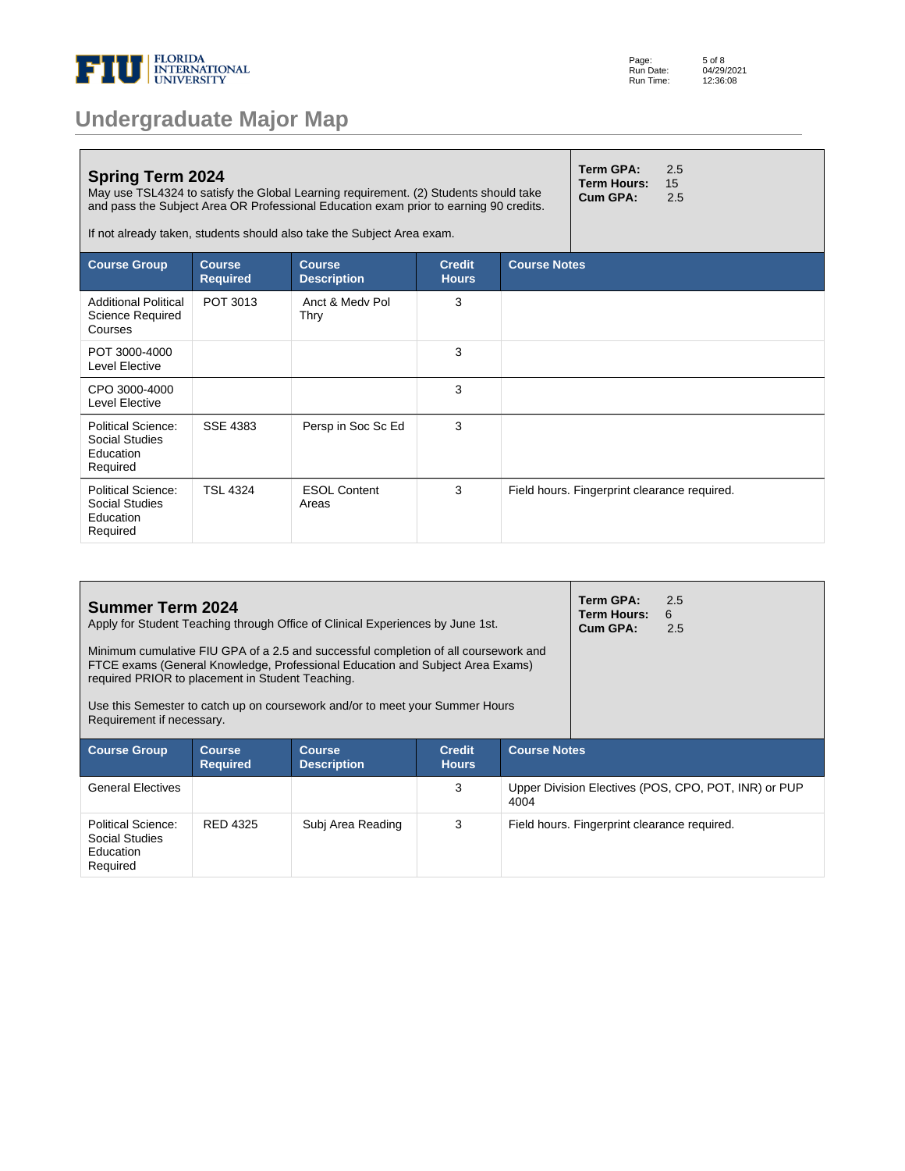

| <b>Undergraduate Major Map</b> |  |  |
|--------------------------------|--|--|
|--------------------------------|--|--|

| <b>Spring Term 2024</b><br>May use TSL4324 to satisfy the Global Learning requirement. (2) Students should take<br>and pass the Subject Area OR Professional Education exam prior to earning 90 credits.<br>If not already taken, students should also take the Subject Area exam. |                                  |                                     |                               | Term GPA:<br><b>Term Hours:</b><br>Cum GPA: | 2.5<br>15<br>2.5                             |  |  |
|------------------------------------------------------------------------------------------------------------------------------------------------------------------------------------------------------------------------------------------------------------------------------------|----------------------------------|-------------------------------------|-------------------------------|---------------------------------------------|----------------------------------------------|--|--|
| <b>Course Group</b>                                                                                                                                                                                                                                                                | <b>Course</b><br><b>Required</b> | <b>Course</b><br><b>Description</b> | <b>Credit</b><br><b>Hours</b> |                                             | <b>Course Notes</b>                          |  |  |
| <b>Additional Political</b><br>Science Required<br>Courses                                                                                                                                                                                                                         | POT 3013                         | Anct & Medy Pol<br>Thry             | 3                             |                                             |                                              |  |  |
| POT 3000-4000<br>Level Elective                                                                                                                                                                                                                                                    |                                  |                                     | 3                             |                                             |                                              |  |  |
| CPO 3000-4000<br>Level Elective                                                                                                                                                                                                                                                    |                                  |                                     | 3                             |                                             |                                              |  |  |
| Political Science:<br>Social Studies<br>Education<br>Required                                                                                                                                                                                                                      | SSE 4383                         | Persp in Soc Sc Ed                  | 3                             |                                             |                                              |  |  |
| Political Science:<br>Social Studies<br>Education<br>Required                                                                                                                                                                                                                      | <b>TSL 4324</b>                  | <b>ESOL Content</b><br>Areas        | 3                             |                                             | Field hours. Fingerprint clearance required. |  |  |

| <b>Summer Term 2024</b><br>Apply for Student Teaching through Office of Clinical Experiences by June 1st.                                                                                                                                                                                                |                                  |                                     |                               |                                                              | Term GPA:<br><b>Term Hours:</b><br>Cum GPA: | 2.5<br>6<br>2.5 |
|----------------------------------------------------------------------------------------------------------------------------------------------------------------------------------------------------------------------------------------------------------------------------------------------------------|----------------------------------|-------------------------------------|-------------------------------|--------------------------------------------------------------|---------------------------------------------|-----------------|
| Minimum cumulative FIU GPA of a 2.5 and successful completion of all coursework and<br>FTCE exams (General Knowledge, Professional Education and Subject Area Exams)<br>required PRIOR to placement in Student Teaching.<br>Use this Semester to catch up on coursework and/or to meet your Summer Hours |                                  |                                     |                               |                                                              |                                             |                 |
| Requirement if necessary.                                                                                                                                                                                                                                                                                |                                  |                                     |                               |                                                              |                                             |                 |
| <b>Course Group</b>                                                                                                                                                                                                                                                                                      | <b>Course</b><br><b>Required</b> | <b>Course</b><br><b>Description</b> | <b>Credit</b><br><b>Hours</b> | <b>Course Notes</b>                                          |                                             |                 |
| <b>General Electives</b>                                                                                                                                                                                                                                                                                 |                                  |                                     | 3                             | Upper Division Electives (POS, CPO, POT, INR) or PUP<br>4004 |                                             |                 |
| Political Science:<br>Social Studies<br>Education<br>Required                                                                                                                                                                                                                                            | RED 4325                         | Subi Area Reading                   | 3                             | Field hours. Fingerprint clearance required.                 |                                             |                 |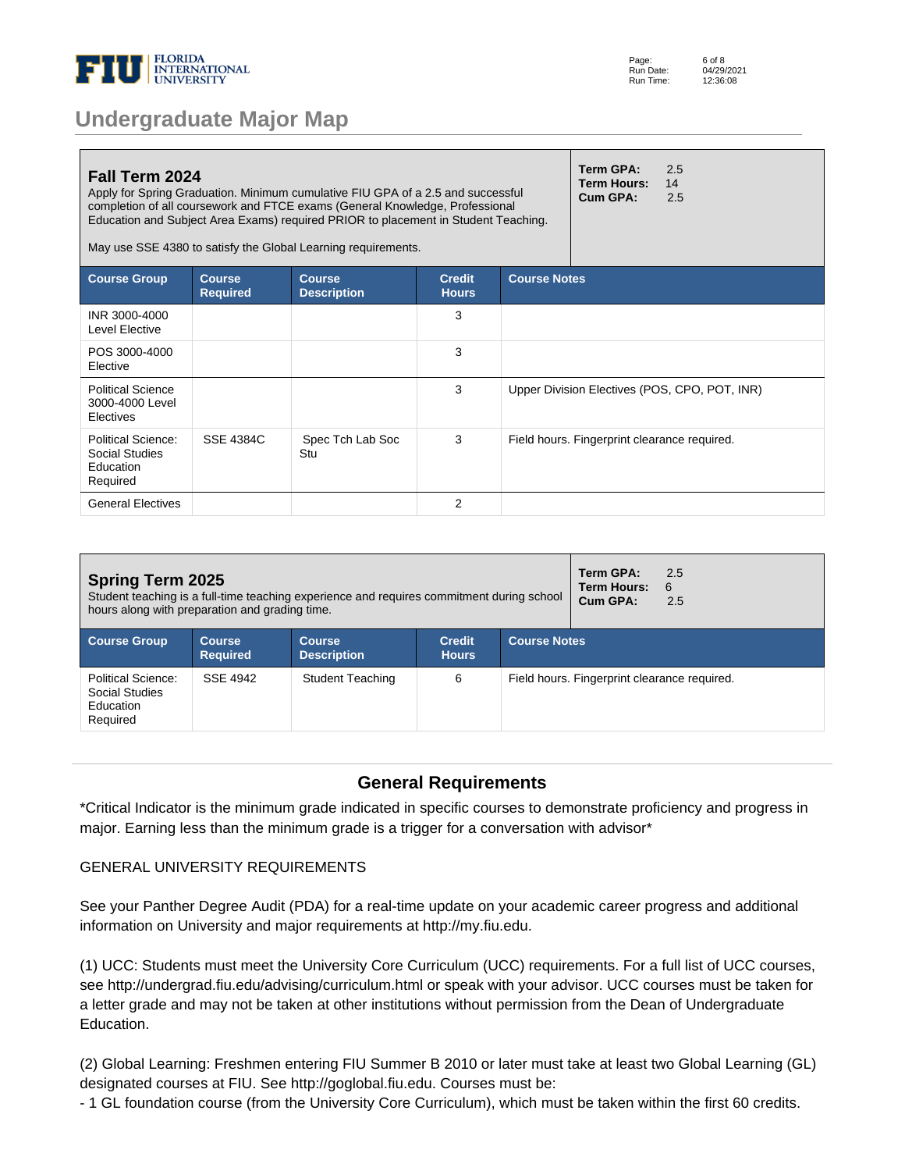

| Page:     | 6 of 8     |
|-----------|------------|
| Run Date: | 04/29/2021 |
| Run Time: | 12:36:08   |

| Fall Term 2024                                                |                                  | Apply for Spring Graduation. Minimum cumulative FIU GPA of a 2.5 and successful<br>completion of all coursework and FTCE exams (General Knowledge, Professional<br>Education and Subject Area Exams) required PRIOR to placement in Student Teaching.<br>May use SSE 4380 to satisfy the Global Learning requirements. |                               |                     | Term GPA:<br>Term Hours:<br>Cum GPA:         | 2.5<br>14<br>2.5                              |  |
|---------------------------------------------------------------|----------------------------------|------------------------------------------------------------------------------------------------------------------------------------------------------------------------------------------------------------------------------------------------------------------------------------------------------------------------|-------------------------------|---------------------|----------------------------------------------|-----------------------------------------------|--|
| <b>Course Group</b>                                           | <b>Course</b><br><b>Required</b> | <b>Course</b><br><b>Description</b>                                                                                                                                                                                                                                                                                    | <b>Credit</b><br><b>Hours</b> | <b>Course Notes</b> |                                              |                                               |  |
| INR 3000-4000<br>Level Elective                               |                                  |                                                                                                                                                                                                                                                                                                                        | 3                             |                     |                                              |                                               |  |
| POS 3000-4000<br>Elective                                     |                                  |                                                                                                                                                                                                                                                                                                                        | 3                             |                     |                                              |                                               |  |
| <b>Political Science</b><br>3000-4000 Level<br>Electives      |                                  |                                                                                                                                                                                                                                                                                                                        | 3                             |                     |                                              | Upper Division Electives (POS, CPO, POT, INR) |  |
| Political Science:<br>Social Studies<br>Education<br>Required | <b>SSE 4384C</b>                 | Spec Tch Lab Soc<br>Stu                                                                                                                                                                                                                                                                                                | 3                             |                     | Field hours. Fingerprint clearance required. |                                               |  |
| <b>General Electives</b>                                      |                                  |                                                                                                                                                                                                                                                                                                                        | 2                             |                     |                                              |                                               |  |

| <b>Spring Term 2025</b><br>Student teaching is a full-time teaching experience and requires commitment during school<br>hours along with preparation and grading time. |                                  |                                     |                               |                     | Term GPA:<br><b>Term Hours:</b><br>Cum GPA:  | 2.5<br>- 6<br>2.5 |  |
|------------------------------------------------------------------------------------------------------------------------------------------------------------------------|----------------------------------|-------------------------------------|-------------------------------|---------------------|----------------------------------------------|-------------------|--|
| <b>Course Group</b>                                                                                                                                                    | <b>Course</b><br><b>Required</b> | <b>Course</b><br><b>Description</b> | <b>Credit</b><br><b>Hours</b> | <b>Course Notes</b> |                                              |                   |  |
| Political Science:<br>Social Studies<br>Education<br>Required                                                                                                          | SSF 4942                         | <b>Student Teaching</b>             | 6                             |                     | Field hours. Fingerprint clearance required. |                   |  |

### **General Requirements**

\*Critical Indicator is the minimum grade indicated in specific courses to demonstrate proficiency and progress in major. Earning less than the minimum grade is a trigger for a conversation with advisor\*

#### GENERAL UNIVERSITY REQUIREMENTS

See your Panther Degree Audit (PDA) for a real-time update on your academic career progress and additional information on University and major requirements at http://my.fiu.edu.

(1) UCC: Students must meet the University Core Curriculum (UCC) requirements. For a full list of UCC courses, see http://undergrad.fiu.edu/advising/curriculum.html or speak with your advisor. UCC courses must be taken for a letter grade and may not be taken at other institutions without permission from the Dean of Undergraduate Education.

(2) Global Learning: Freshmen entering FIU Summer B 2010 or later must take at least two Global Learning (GL) designated courses at FIU. See http://goglobal.fiu.edu. Courses must be:

- 1 GL foundation course (from the University Core Curriculum), which must be taken within the first 60 credits.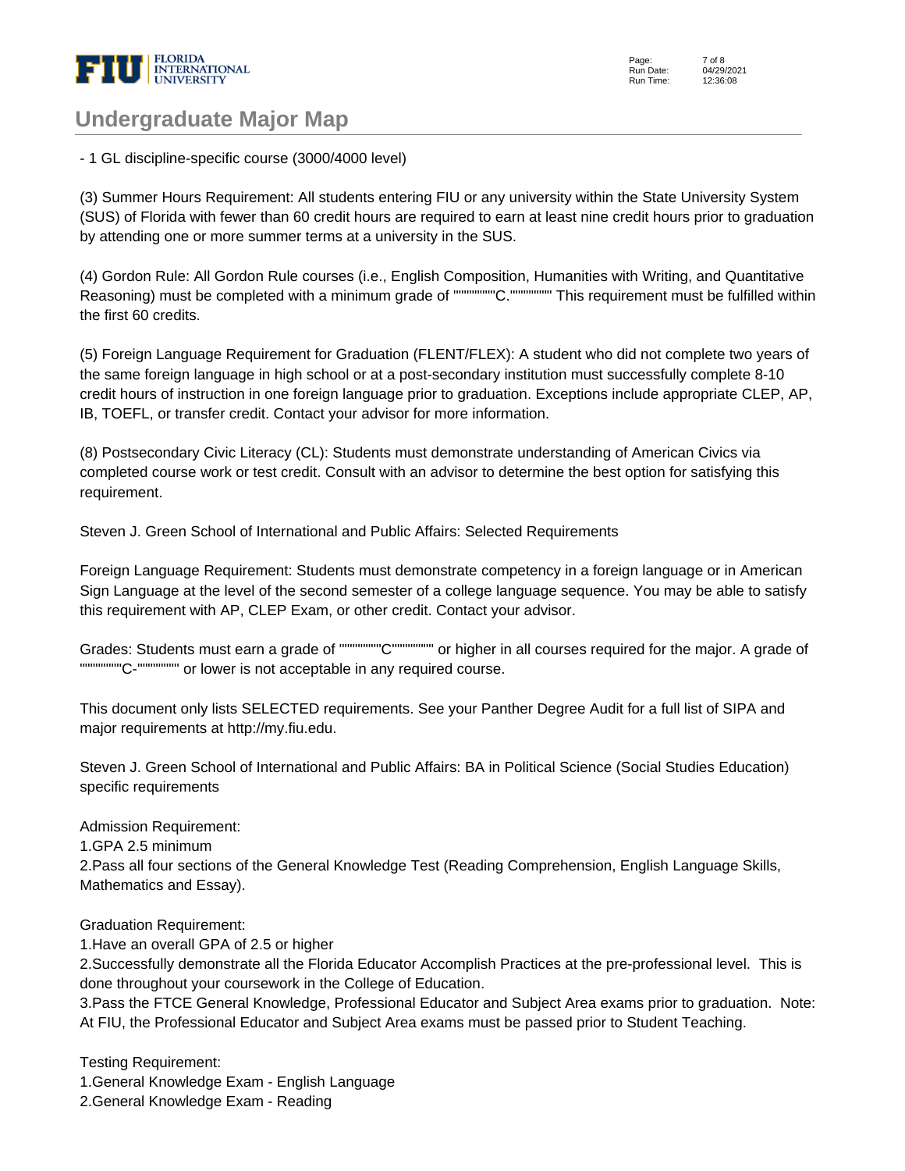

Page: Run Date: Run Time: 7 of 8 04/29/2021 12:36:08

### **Undergraduate Major Map**

- 1 GL discipline-specific course (3000/4000 level)

(3) Summer Hours Requirement: All students entering FIU or any university within the State University System (SUS) of Florida with fewer than 60 credit hours are required to earn at least nine credit hours prior to graduation by attending one or more summer terms at a university in the SUS.

(4) Gordon Rule: All Gordon Rule courses (i.e., English Composition, Humanities with Writing, and Quantitative Reasoning) must be completed with a minimum grade of """"""""C."""""""" This requirement must be fulfilled within the first 60 credits.

(5) Foreign Language Requirement for Graduation (FLENT/FLEX): A student who did not complete two years of the same foreign language in high school or at a post-secondary institution must successfully complete 8-10 credit hours of instruction in one foreign language prior to graduation. Exceptions include appropriate CLEP, AP, IB, TOEFL, or transfer credit. Contact your advisor for more information.

(8) Postsecondary Civic Literacy (CL): Students must demonstrate understanding of American Civics via completed course work or test credit. Consult with an advisor to determine the best option for satisfying this requirement.

Steven J. Green School of International and Public Affairs: Selected Requirements

Foreign Language Requirement: Students must demonstrate competency in a foreign language or in American Sign Language at the level of the second semester of a college language sequence. You may be able to satisfy this requirement with AP, CLEP Exam, or other credit. Contact your advisor.

Grades: Students must earn a grade of """"""""C"""""""" or higher in all courses required for the major. A grade of """"""""C-"""""""" or lower is not acceptable in any required course.

This document only lists SELECTED requirements. See your Panther Degree Audit for a full list of SIPA and major requirements at http://my.fiu.edu.

Steven J. Green School of International and Public Affairs: BA in Political Science (Social Studies Education) specific requirements

Admission Requirement:

1. GPA 2.5 minimum

2. Pass all four sections of the General Knowledge Test (Reading Comprehension, English Language Skills, Mathematics and Essay).

Graduation Requirement:

1. Have an overall GPA of 2.5 or higher

2. Successfully demonstrate all the Florida Educator Accomplish Practices at the pre-professional level. This is done throughout your coursework in the College of Education.

3. Pass the FTCE General Knowledge, Professional Educator and Subject Area exams prior to graduation. Note: At FIU, the Professional Educator and Subject Area exams must be passed prior to Student Teaching.

Testing Requirement:

1. General Knowledge Exam - English Language

2. General Knowledge Exam - Reading